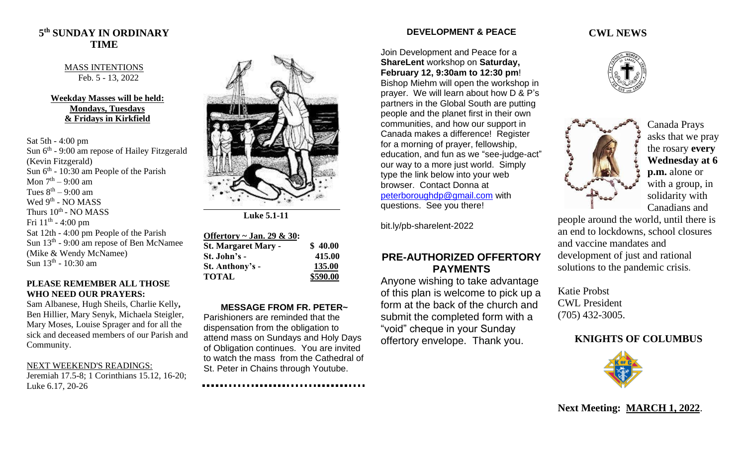## **5 th SUNDAY IN ORDINARY TIME**

#### MASS INTENTIONS Feb. 5 - 13, 2022

### **Weekday Masses will be held: Mondays, Tuesdays & Fridays in Kirkfield**

Sat 5th - 4:00 pm Sun 6<sup>th</sup> - 9:00 am repose of Hailey Fitzgerald (Kevin Fitzgerald) Sun  $6<sup>th</sup>$  - 10:30 am People of the Parish Mon  $7^{\text{th}} - 9:00$  am Tues  $8^{\text{th}} - 9:00$  am Wed 9<sup>th</sup> - NO MASS Thurs  $10^{\text{th}}$  - NO MASS Fri  $11^{\text{th}}$  - 4:00 pm Sat 12th - 4:00 pm People of the Parish Sun 13<sup>th</sup> - 9:00 am repose of Ben McNamee (Mike & Wendy McNamee) Sun 13<sup>th</sup> - 10:30 am

#### **PLEASE REMEMBER ALL THOSE WHO NEED OUR PRAYERS:**

Sam Albanese, Hugh Sheils, Charlie Kelly**,**  Ben Hillier, Mary Senyk, Michaela Steigler, Mary Moses, Louise Sprager and for all the sick and deceased members of our Parish and Community.

#### NEXT WEEKEND'S READINGS:

Jeremiah 17.5-8; 1 Corinthians 15.12, 16-20; Luke 6.17, 20-26



 **Luke 5.1-11**

| Offertory $\sim$ Jan. 29 & 30: |          |
|--------------------------------|----------|
| <b>St. Margaret Mary -</b>     | \$40.00  |
| St. John's -                   | 415.00   |
| St. Anthony's -                | 135.00   |
| <b>TOTAL</b>                   | \$590.00 |

### **MESSAGE FROM FR. PETER~**

Parishioners are reminded that the dispensation from the obligation to attend mass on Sundays and Holy Days of Obligation continues. You are invited to watch the mass from the Cathedral of St. Peter in Chains through Youtube.

### **DEVELOPMENT & PEACE**

Join Development and Peace for a **ShareLent** workshop on **Saturday, February 12, 9:30am to 12:30 pm**! Bishop Miehm will open the workshop in prayer. We will learn about how D & P's partners in the Global South are putting people and the planet first in their own communities, and how our support in Canada makes a difference! Register for a morning of prayer, fellowship, education, and fun as we "see-judge-act" our way to a more just world. Simply type the link below into your web browser. Contact Donna at [peterboroughdp@gmail.com](mailto:peterboroughdp@gmail.com) with questions. See you there!

bit.ly/pb-sharelent-2022

## **PRE-AUTHORIZED OFFERTORY PAYMENTS**

Anyone wishing to take advantage of this plan is welcome to pick up a form at the back of the church and submit the completed form with a "void" cheque in your Sunday offertory envelope. Thank you.

### **CWL NEWS**





Canada Prays asks that we pray the rosary **every Wednesday at 6 p.m.** alone or with a group, in solidarity with Canadians and

people around the world, until there is an end to lockdowns, school closures and vaccine mandates and development of just and rational solutions to the pandemic crisis.

Katie Probst CWL President (705) 432-3005.

# **KNIGHTS OF COLUMBUS**